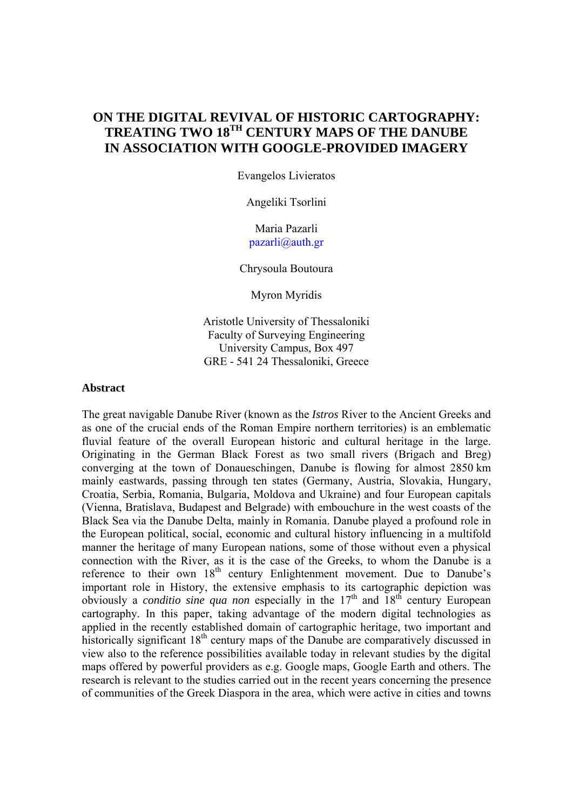# **ON THE DIGITAL REVIVAL OF HISTORIC CARTOGRAPHY: TREATING TWO 18TH CENTURY MAPS OF THE DANUBE IN ASSOCIATION WITH GOOGLE-PROVIDED IMAGERY**

Evangelos Livieratos

Angeliki Tsorlini

## Maria Pazarli pazarli@auth.gr

Chrysoula Boutoura

Myron Myridis

Aristotle University of Thessaloniki Faculty of Surveying Engineering University Campus, Box 497 GRE - 541 24 Thessaloniki, Greece

#### **Abstract**

The great navigable Danube River (known as the *Istros* River to the Ancient Greeks and as one of the crucial ends of the Roman Empire northern territories) is an emblematic fluvial feature of the overall European historic and cultural heritage in the large. Originating in the German Black Forest as two small rivers (Brigach and Breg) converging at the town of Donaueschingen, Danube is flowing for almost 2850 km mainly eastwards, passing through ten states (Germany, Austria, Slovakia, Hungary, Croatia, Serbia, Romania, Bulgaria, Moldova and Ukraine) and four European capitals (Vienna, Bratislava, Budapest and Belgrade) with embouchure in the west coasts of the Black Sea via the Danube Delta, mainly in Romania. Danube played a profound role in the European political, social, economic and cultural history influencing in a multifold manner the heritage of many European nations, some of those without even a physical connection with the River, as it is the case of the Greeks, to whom the Danube is a reference to their own  $18<sup>th</sup>$  century Enlightenment movement. Due to Danube's important role in History, the extensive emphasis to its cartographic depiction was obviously a *conditio sine qua non* especially in the 17<sup>th</sup> and 18<sup>th</sup> century European cartography. In this paper, taking advantage of the modern digital technologies as applied in the recently established domain of cartographic heritage, two important and historically significant 18<sup>th</sup> century maps of the Danube are comparatively discussed in view also to the reference possibilities available today in relevant studies by the digital maps offered by powerful providers as e.g. Google maps, Google Earth and others. The research is relevant to the studies carried out in the recent years concerning the presence of communities of the Greek Diaspora in the area, which were active in cities and towns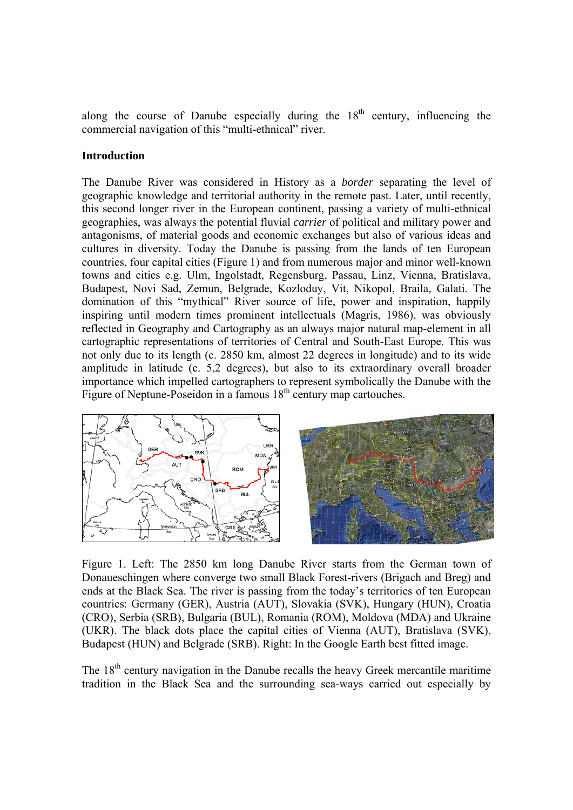along the course of Danube especially during the  $18<sup>th</sup>$  century, influencing the commercial navigation of this "multi-ethnical" river.

### **Introduction**

The Danube River was considered in History as a *border* separating the level of geographic knowledge and territorial authority in the remote past. Later, until recently, this second longer river in the European continent, passing a variety of multi-ethnical geographies, was always the potential fluvial *carrier* of political and military power and antagonisms, of material goods and economic exchanges but also of various ideas and cultures in diversity. Today the Danube is passing from the lands of ten European countries, four capital cities (Figure 1) and from numerous major and minor well-known towns and cities e.g. Ulm, Ingolstadt, Regensburg, Passau, Linz, Vienna, Bratislava, Budapest, Novi Sad, Zemun, Belgrade, Kozloduy, Vit, Nikopol, Braila, Galati. The domination of this "mythical" River source of life, power and inspiration, happily inspiring until modern times prominent intellectuals (Magris, 1986), was obviously reflected in Geography and Cartography as an always major natural map-element in all cartographic representations of territories of Central and South-East Europe. This was not only due to its length (c. 2850 km, almost 22 degrees in longitude) and to its wide amplitude in latitude (c. 5,2 degrees), but also to its extraordinary overall broader importance which impelled cartographers to represent symbolically the Danube with the Figure of Neptune-Poseidon in a famous  $18<sup>th</sup>$  century map cartouches.



Figure 1. Left: The 2850 km long Danube River starts from the German town of Donaueschingen where converge two small Black Forest-rivers (Brigach and Breg) and ends at the Black Sea. The river is passing from the today's territories of ten European countries: Germany (GER), Austria (AUT), Slovakia (SVK), Hungary (HUN), Croatia (CRO), Serbia (SRB), Bulgaria (BUL), Romania (ROM), Moldova (MDA) and Ukraine (UKR). The black dots place the capital cities of Vienna (AUT), Bratislava (SVK), Budapest (HUN) and Belgrade (SRB). Right: In the Google Earth best fitted image.

The  $18<sup>th</sup>$  century navigation in the Danube recalls the heavy Greek mercantile maritime tradition in the Black Sea and the surrounding sea-ways carried out especially by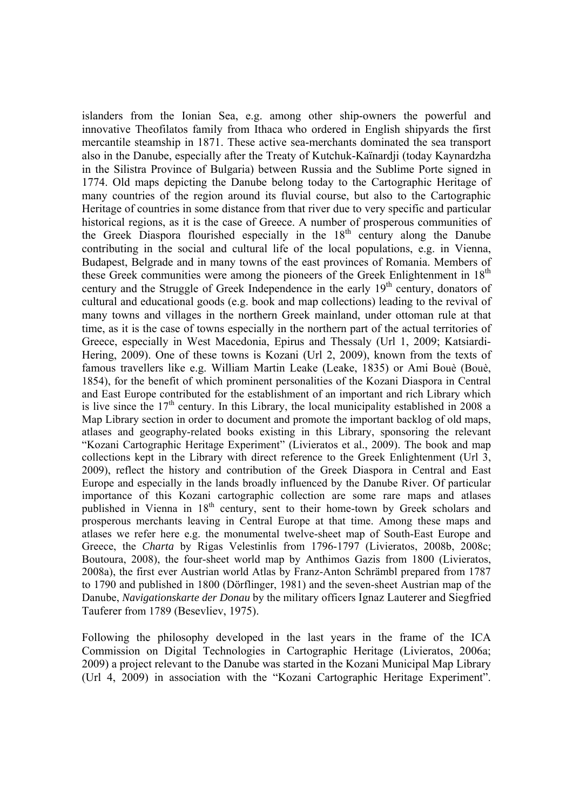islanders from the Ionian Sea, e.g. among other ship-owners the powerful and innovative Theofilatos family from Ithaca who ordered in English shipyards the first mercantile steamship in 1871. These active sea-merchants dominated the sea transport also in the Danube, especially after the Treaty of Kutchuk-Kaïnardji (today Kaynardzha in the Silistra Province of Bulgaria) between Russia and the Sublime Porte signed in 1774. Old maps depicting the Danube belong today to the Cartographic Heritage of many countries of the region around its fluvial course, but also to the Cartographic Heritage of countries in some distance from that river due to very specific and particular historical regions, as it is the case of Greece. A number of prosperous communities of the Greek Diaspora flourished especially in the  $18<sup>th</sup>$  century along the Danube contributing in the social and cultural life of the local populations, e.g. in Vienna, Budapest, Belgrade and in many towns of the east provinces of Romania. Members of these Greek communities were among the pioneers of the Greek Enlightenment in 18<sup>th</sup> century and the Struggle of Greek Independence in the early 19<sup>th</sup> century, donators of cultural and educational goods (e.g. book and map collections) leading to the revival of many towns and villages in the northern Greek mainland, under ottoman rule at that time, as it is the case of towns especially in the northern part of the actual territories of Greece, especially in West Macedonia, Epirus and Thessaly (Url 1, 2009; Katsiardi-Hering, 2009). One of these towns is Kozani (Url 2, 2009), known from the texts of famous travellers like e.g. William Martin Leake (Leake, 1835) or Ami Bouè (Bouè, 1854), for the benefit of which prominent personalities of the Kozani Diaspora in Central and East Europe contributed for the establishment of an important and rich Library which is live since the  $17<sup>th</sup>$  century. In this Library, the local municipality established in 2008 a Map Library section in order to document and promote the important backlog of old maps, atlases and geography-related books existing in this Library, sponsoring the relevant "Kozani Cartographic Heritage Experiment" (Livieratos et al., 2009). The book and map collections kept in the Library with direct reference to the Greek Enlightenment (Url 3, 2009), reflect the history and contribution of the Greek Diaspora in Central and East Europe and especially in the lands broadly influenced by the Danube River. Of particular importance of this Kozani cartographic collection are some rare maps and atlases published in Vienna in 18<sup>th</sup> century, sent to their home-town by Greek scholars and prosperous merchants leaving in Central Europe at that time. Among these maps and atlases we refer here e.g. the monumental twelve-sheet map of South-East Europe and Greece, the *Charta* by Rigas Velestinlis from 1796-1797 (Livieratos, 2008b, 2008c; Boutoura, 2008), the four-sheet world map by Anthimos Gazis from 1800 (Livieratos, 2008a), the first ever Austrian world Atlas by Franz-Anton Schrämbl prepared from 1787 to 1790 and published in 1800 (Dörflinger, 1981) and the seven-sheet Austrian map of the Danube, *Navigationskarte der Donau* by the military officers Ignaz Lauterer and Siegfried Tauferer from 1789 (Besevliev, 1975).

Following the philosophy developed in the last years in the frame of the ICA Commission on Digital Technologies in Cartographic Heritage (Livieratos, 2006a; 2009) a project relevant to the Danube was started in the Kozani Municipal Map Library (Url 4, 2009) in association with the "Kozani Cartographic Heritage Experiment".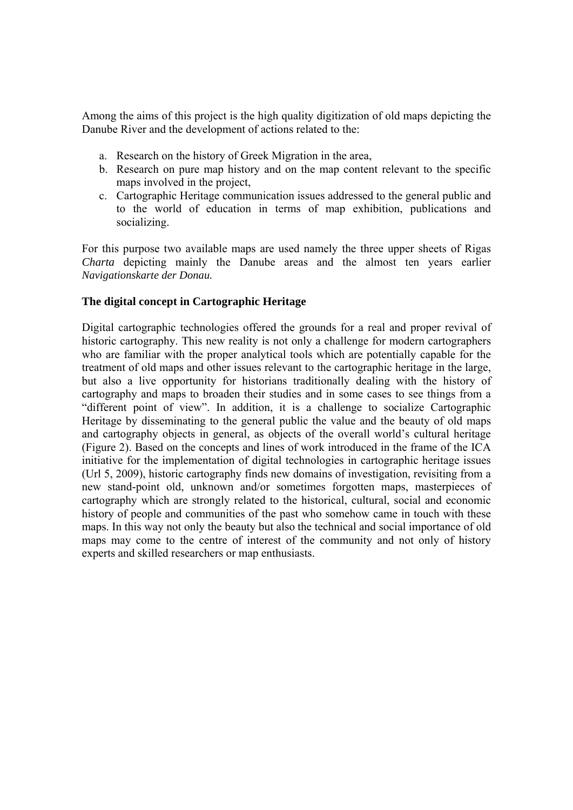Among the aims of this project is the high quality digitization of old maps depicting the Danube River and the development of actions related to the:

- a. Research on the history of Greek Migration in the area,
- b. Research on pure map history and on the map content relevant to the specific maps involved in the project,
- c. Cartographic Heritage communication issues addressed to the general public and to the world of education in terms of map exhibition, publications and socializing.

For this purpose two available maps are used namely the three upper sheets of Rigas *Charta* depicting mainly the Danube areas and the almost ten years earlier *Navigationskarte der Donau.* 

## **The digital concept in Cartographic Heritage**

Digital cartographic technologies offered the grounds for a real and proper revival of historic cartography. This new reality is not only a challenge for modern cartographers who are familiar with the proper analytical tools which are potentially capable for the treatment of old maps and other issues relevant to the cartographic heritage in the large, but also a live opportunity for historians traditionally dealing with the history of cartography and maps to broaden their studies and in some cases to see things from a "different point of view". In addition, it is a challenge to socialize Cartographic Heritage by disseminating to the general public the value and the beauty of old maps and cartography objects in general, as objects of the overall world's cultural heritage (Figure 2). Based on the concepts and lines of work introduced in the frame of the ICA initiative for the implementation of digital technologies in cartographic heritage issues (Url 5, 2009), historic cartography finds new domains of investigation, revisiting from a new stand-point old, unknown and/or sometimes forgotten maps, masterpieces of cartography which are strongly related to the historical, cultural, social and economic history of people and communities of the past who somehow came in touch with these maps. In this way not only the beauty but also the technical and social importance of old maps may come to the centre of interest of the community and not only of history experts and skilled researchers or map enthusiasts.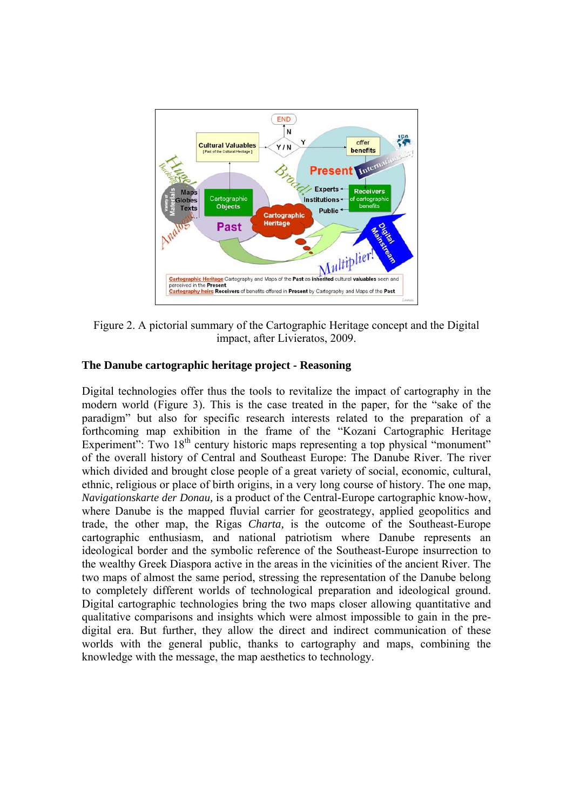

Figure 2. A pictorial summary of the Cartographic Heritage concept and the Digital impact, after Livieratos, 2009.

# **The Danube cartographic heritage project - Reasoning**

Digital technologies offer thus the tools to revitalize the impact of cartography in the modern world (Figure 3). This is the case treated in the paper, for the "sake of the paradigm" but also for specific research interests related to the preparation of a forthcoming map exhibition in the frame of the "Kozani Cartographic Heritage Experiment": Two 18<sup>th</sup> century historic maps representing a top physical "monument" of the overall history of Central and Southeast Europe: The Danube River. The river which divided and brought close people of a great variety of social, economic, cultural, ethnic, religious or place of birth origins, in a very long course of history. The one map, *Navigationskarte der Donau,* is a product of the Central-Europe cartographic know-how, where Danube is the mapped fluvial carrier for geostrategy, applied geopolitics and trade, the other map, the Rigas *Charta,* is the outcome of the Southeast-Europe cartographic enthusiasm, and national patriotism where Danube represents an ideological border and the symbolic reference of the Southeast-Europe insurrection to the wealthy Greek Diaspora active in the areas in the vicinities of the ancient River. The two maps of almost the same period, stressing the representation of the Danube belong to completely different worlds of technological preparation and ideological ground. Digital cartographic technologies bring the two maps closer allowing quantitative and qualitative comparisons and insights which were almost impossible to gain in the predigital era. But further, they allow the direct and indirect communication of these worlds with the general public, thanks to cartography and maps, combining the knowledge with the message, the map aesthetics to technology.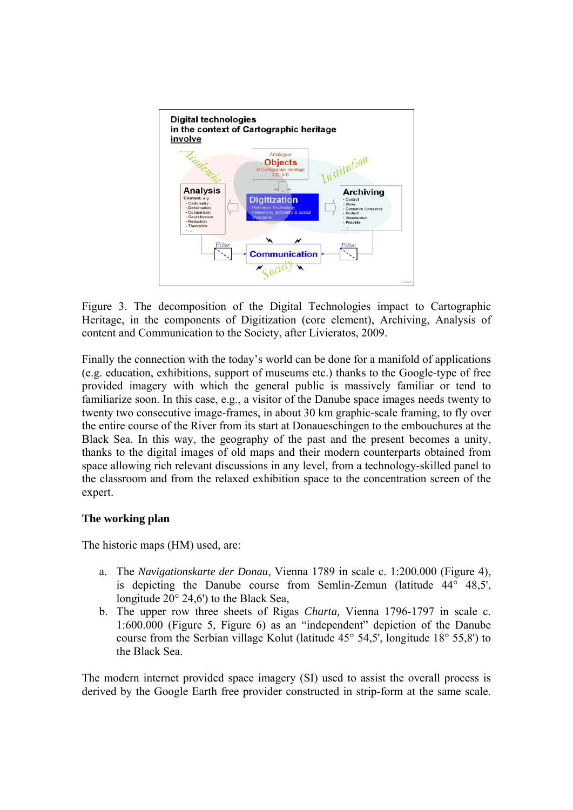

Figure 3. The decomposition of the Digital Technologies impact to Cartographic Heritage, in the components of Digitization (core element), Archiving, Analysis of content and Communication to the Society, after Livieratos, 2009.

Finally the connection with the today's world can be done for a manifold of applications (e.g. education, exhibitions, support of museums etc.) thanks to the Google-type of free provided imagery with which the general public is massively familiar or tend to familiarize soon. In this case, e.g., a visitor of the Danube space images needs twenty to twenty two consecutive image-frames, in about 30 km graphic-scale framing, to fly over the entire course of the River from its start at Donaueschingen to the embouchures at the Black Sea. In this way, the geography of the past and the present becomes a unity, thanks to the digital images of old maps and their modern counterparts obtained from space allowing rich relevant discussions in any level, from a technology-skilled panel to the classroom and from the relaxed exhibition space to the concentration screen of the expert.

### **The working plan**

The historic maps (HM) used, are:

- a. The *Navigationskarte der Donau*, Vienna 1789 in scale c. 1:200.000 (Figure 4), is depicting the Danube course from Semlin-Zemun (latitude 44° 48,5', longitude 20° 24,6') to the Black Sea,
- b. The upper row three sheets of Rigas *Charta,* Vienna 1796-1797 in scale c. 1:600.000 (Figure 5, Figure 6) as an "independent" depiction of the Danube course from the Serbian village Kolut (latitude 45° 54,5', longitude 18° 55,8') to the Black Sea.

The modern internet provided space imagery (SI) used to assist the overall process is derived by the Google Earth free provider constructed in strip-form at the same scale.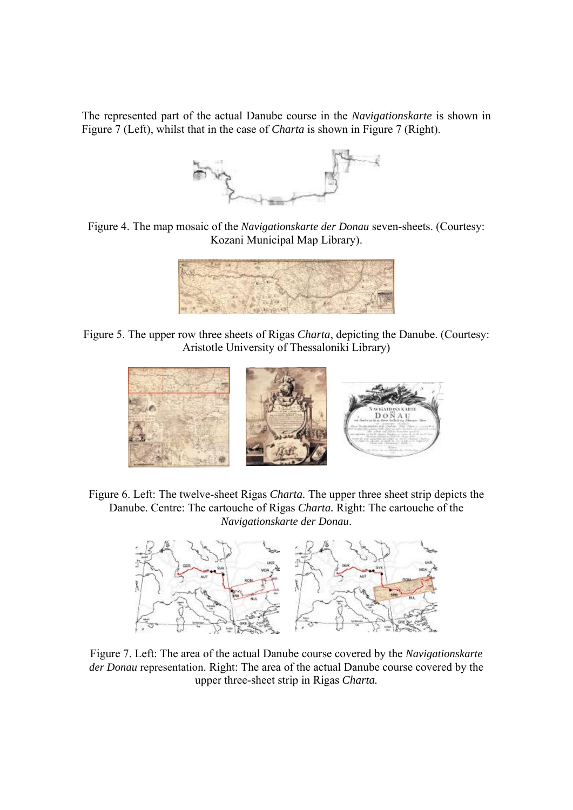The represented part of the actual Danube course in the *Navigationskarte* is shown in Figure 7 (Left), whilst that in the case of *Charta* is shown in Figure 7 (Right).



Figure 4. The map mosaic of the *Navigationskarte der Donau* seven-sheets. (Courtesy: Kozani Municipal Map Library).



Figure 5. The upper row three sheets of Rigas *Charta*, depicting the Danube. (Courtesy: Aristotle University of Thessaloniki Library)



Figure 6. Left: The twelve-sheet Rigas *Charta.* The upper three sheet strip depicts the Danube. Centre: The cartouche of Rigas *Charta.* Right: The cartouche of the *Navigationskarte der Donau*.



Figure 7. Left: The area of the actual Danube course covered by the *Navigationskarte der Donau* representation. Right: The area of the actual Danube course covered by the upper three-sheet strip in Rigas *Charta.*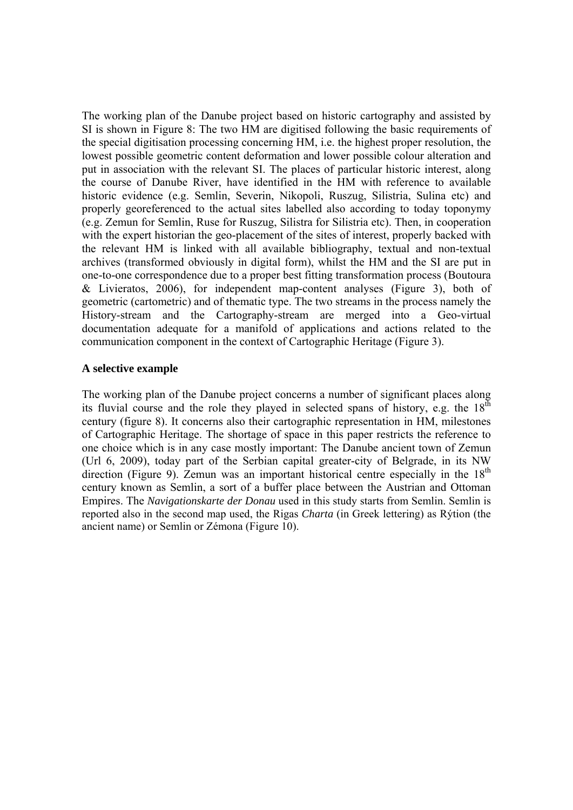The working plan of the Danube project based on historic cartography and assisted by SI is shown in Figure 8: The two HM are digitised following the basic requirements of the special digitisation processing concerning HM, i.e. the highest proper resolution, the lowest possible geometric content deformation and lower possible colour alteration and put in association with the relevant SI. The places of particular historic interest, along the course of Danube River, have identified in the HM with reference to available historic evidence (e.g. Semlin, Severin, Nikopoli, Ruszug, Silistria, Sulina etc) and properly georeferenced to the actual sites labelled also according to today toponymy (e.g. Zemun for Semlin, Ruse for Ruszug, Silistra for Silistria etc). Then, in cooperation with the expert historian the geo-placement of the sites of interest, properly backed with the relevant HM is linked with all available bibliography, textual and non-textual archives (transformed obviously in digital form), whilst the HM and the SI are put in one-to-one correspondence due to a proper best fitting transformation process (Boutoura & Livieratos, 2006), for independent map-content analyses (Figure 3), both of geometric (cartometric) and of thematic type. The two streams in the process namely the History-stream and the Cartography-stream are merged into a Geo-virtual documentation adequate for a manifold of applications and actions related to the communication component in the context of Cartographic Heritage (Figure 3).

### **A selective example**

The working plan of the Danube project concerns a number of significant places along its fluvial course and the role they played in selected spans of history, e.g. the  $18<sup>th</sup>$ century (figure 8). It concerns also their cartographic representation in HM, milestones of Cartographic Heritage. The shortage of space in this paper restricts the reference to one choice which is in any case mostly important: The Danube ancient town of Zemun (Url 6, 2009), today part of the Serbian capital greater-city of Belgrade, in its NW direction (Figure 9). Zemun was an important historical centre especially in the  $18<sup>th</sup>$ century known as Semlin, a sort of a buffer place between the Austrian and Ottoman Empires. The *Navigationskarte der Donau* used in this study starts from Semlin. Semlin is reported also in the second map used, the Rigas *Charta* (in Greek lettering) as Rýtion (the ancient name) or Semlin or Zémona (Figure 10).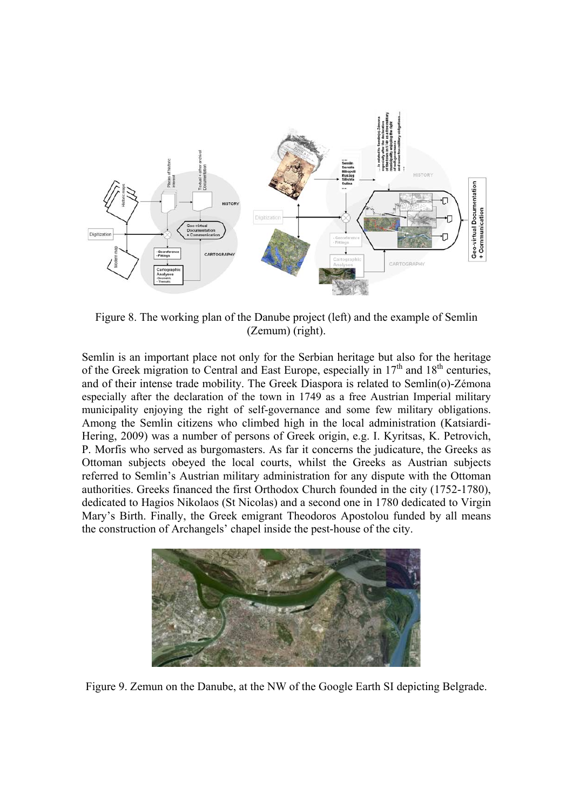

Figure 8. The working plan of the Danube project (left) and the example of Semlin (Zemum) (right).

Semlin is an important place not only for the Serbian heritage but also for the heritage of the Greek migration to Central and East Europe, especially in  $17<sup>th</sup>$  and  $18<sup>th</sup>$  centuries, and of their intense trade mobility. The Greek Diaspora is related to Semlin(o)-Zémona especially after the declaration of the town in 1749 as a free Austrian Imperial military municipality enjoying the right of self-governance and some few military obligations. Among the Semlin citizens who climbed high in the local administration (Katsiardi-Hering, 2009) was a number of persons of Greek origin, e.g. Ι. Κyritsas, K. Petrovich, P. Morfis who served as burgomasters. As far it concerns the judicature, the Greeks as Ottoman subjects obeyed the local courts, whilst the Greeks as Austrian subjects referred to Semlin's Austrian military administration for any dispute with the Ottoman authorities. Greeks financed the first Orthodox Church founded in the city (1752-1780), dedicated to Hagios Nikolaos (St Nicolas) and a second one in 1780 dedicated to Virgin Mary's Birth. Finally, the Greek emigrant Theodoros Apostolou funded by all means the construction of Archangels' chapel inside the pest-house of the city.



Figure 9. Zemun on the Danube, at the NW of the Google Earth SI depicting Belgrade.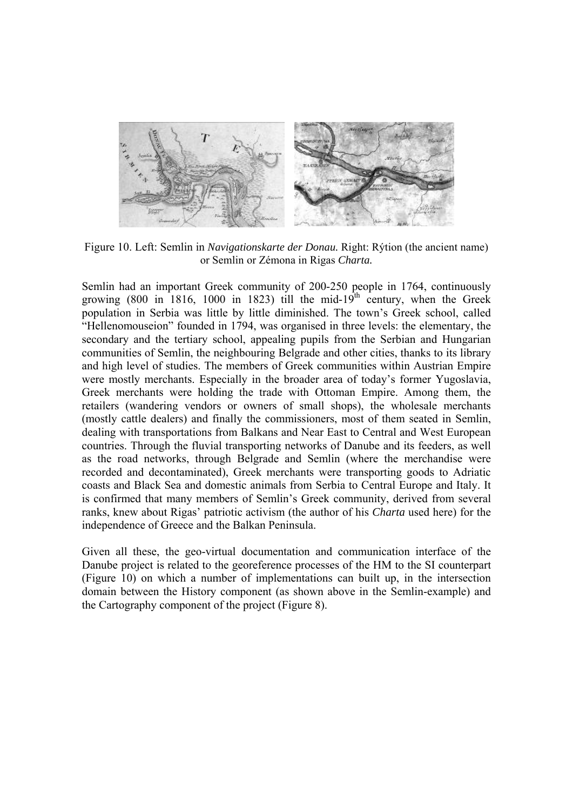

Figure 10. Left: Semlin in *Navigationskarte der Donau.* Right: Rýtion (the ancient name) or Semlin or Zémona in Rigas *Charta.*

Semlin had an important Greek community of 200-250 people in 1764, continuously growing (800 in 1816, 1000 in 1823) till the mid-19<sup>th</sup> century, when the Greek population in Serbia was little by little diminished. The town's Greek school, called "Hellenomouseion" founded in 1794, was organised in three levels: the elementary, the secondary and the tertiary school, appealing pupils from the Serbian and Hungarian communities of Semlin, the neighbouring Belgrade and other cities, thanks to its library and high level of studies. The members of Greek communities within Austrian Empire were mostly merchants. Especially in the broader area of today's former Yugoslavia, Greek merchants were holding the trade with Ottoman Empire. Among them, the retailers (wandering vendors or owners of small shops), the wholesale merchants (mostly cattle dealers) and finally the commissioners, most of them seated in Semlin, dealing with transportations from Balkans and Near East to Central and West European countries. Through the fluvial transporting networks of Danube and its feeders, as well as the road networks, through Belgrade and Semlin (where the merchandise were recorded and decontaminated), Greek merchants were transporting goods to Adriatic coasts and Black Sea and domestic animals from Serbia to Central Europe and Italy. It is confirmed that many members of Semlin's Greek community, derived from several ranks, knew about Rigas' patriotic activism (the author of his *Charta* used here) for the independence of Greece and the Balkan Peninsula.

Given all these, the geo-virtual documentation and communication interface of the Danube project is related to the georeference processes of the HM to the SI counterpart (Figure 10) on which a number of implementations can built up, in the intersection domain between the History component (as shown above in the Semlin-example) and the Cartography component of the project (Figure 8).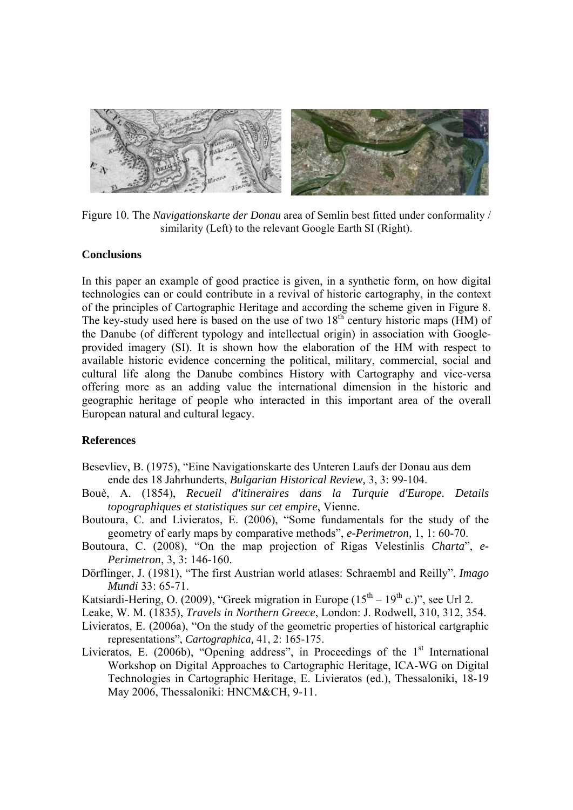

Figure 10. The *Navigationskarte der Donau* area of Semlin best fitted under conformality / similarity (Left) to the relevant Google Earth SI (Right).

### **Conclusions**

In this paper an example of good practice is given, in a synthetic form, on how digital technologies can or could contribute in a revival of historic cartography, in the context of the principles of Cartographic Heritage and according the scheme given in Figure 8. The key-study used here is based on the use of two  $18<sup>th</sup>$  century historic maps (HM) of the Danube (of different typology and intellectual origin) in association with Googleprovided imagery (SI). It is shown how the elaboration of the HM with respect to available historic evidence concerning the political, military, commercial, social and cultural life along the Danube combines History with Cartography and vice-versa offering more as an adding value the international dimension in the historic and geographic heritage of people who interacted in this important area of the overall European natural and cultural legacy.

#### **References**

- Besevliev, B. (1975), "Eine Navigationskarte des Unteren Laufs der Donau aus dem ende des 18 Jahrhunderts, *Bulgarian Historical Review,* 3, 3: 99-104.
- Bouè, A. (1854), *Recueil d'itineraires dans la Turquie d'Europe. Details topographiques et statistiques sur cet empire*, Vienne.
- Boutoura, C. and Livieratos, E. (2006), "Some fundamentals for the study of the geometry of early maps by comparative methods", *e-Perimetron,* 1, 1: 60-70.
- Boutoura, C. (2008), "On the map projection of Rigas Velestinlis *Charta*", *e-Perimetron*, 3, 3: 146-160.
- Dörflinger, J. (1981), "The first Austrian world atlases: Schraembl and Reilly", *Imago Mundi* 33: 65-71.
- Katsiardi-Hering, O. (2009), "Greek migration in Europe  $(15<sup>th</sup> 19<sup>th</sup>$  c.)", see Url 2.
- Leake, W. M. (1835), *Travels in Northern Greece*, London: J. Rodwell, 310, 312, 354.
- Livieratos, E. (2006a), "On the study of the geometric properties of historical cartgraphic representations", *Cartographica,* 41, 2: 165-175.
- Livieratos, E. (2006b), "Opening address", in Proceedings of the  $1<sup>st</sup>$  International Workshop on Digital Approaches to Cartographic Heritage, ICA-WG on Digital Technologies in Cartographic Heritage, E. Livieratos (ed.), Thessaloniki, 18-19 May 2006, Thessaloniki: HNCM&CH, 9-11.